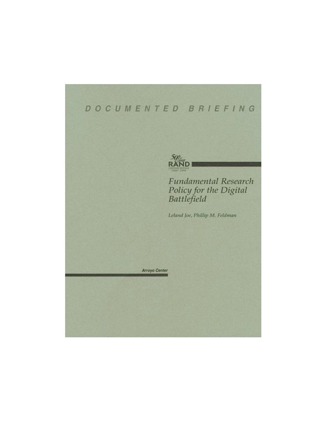# DOCUMENTED BRIEFING



# **Fundamental Research** Policy for the Digital<br>Battlefield

Leland Joe, Phillip M. Feldman

Arroyo Center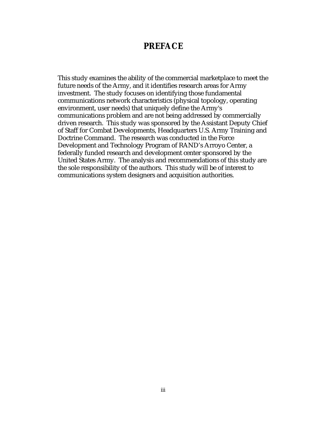### **PREFACE**

This study examines the ability of the commercial marketplace to meet the future needs of the Army, and it identifies research areas for Army investment. The study focuses on identifying those fundamental communications network characteristics (physical topology, operating environment, user needs) that uniquely define the Army's communications problem and are not being addressed by commercially driven research. This study was sponsored by the Assistant Deputy Chief of Staff for Combat Developments, Headquarters U.S. Army Training and Doctrine Command. The research was conducted in the Force Development and Technology Program of RAND's Arroyo Center, a federally funded research and development center sponsored by the United States Army. The analysis and recommendations of this study are the sole responsibility of the authors. This study will be of interest to communications system designers and acquisition authorities.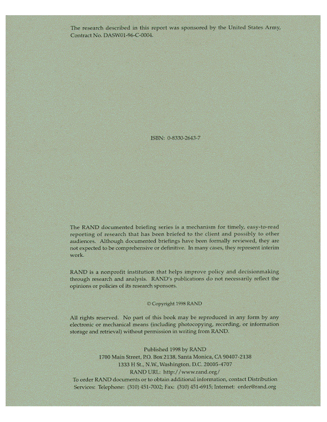The research described in this report was sponsored by the United States Army, Contract No. DASW01-96-C-0004.

ISBN: 0-8330-2643-7

The RAND documented briefing series is a mechanism for timely, easy-to-read reporting of research that has been briefed to the client and possibly to other audiences. Although documented briefings have been formally reviewed, they are not expected to be comprehensive or definitive. In many cases, they represent interim work.

RAND is a nonprofit institution that helps improve policy and decisionmaking through research and analysis. RAND's publications do not necessarily reflect the opinions or policies of its research sponsors.

#### Copyright 1998 RAND

All rights reserved. No part of this book may be reproduced in any form by any electronic or mechanical means (including photocopying, recording, or information storage and retrieval) without permission in writing from RAND.

Published 1998 by RAND 1700 Main Street, P.O. Box 2138, Santa Monica, CA 90407-2138 1333 H St., N.W., Washington, D.C. 20005-4707 RAND URL: http://www.rand.org/ To order RAND documents or to obtain additional information, contact Distribution Services: Telephone: (310) 451-7002; Fax: (310) 451-6915; Internet: order@rand.org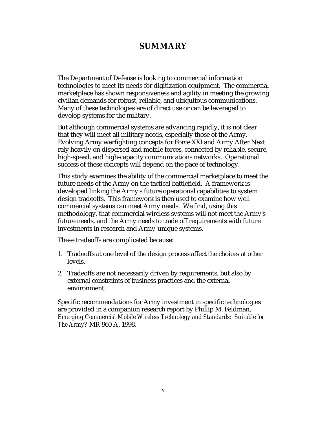## **SUMMARY**

The Department of Defense is looking to commercial information technologies to meet its needs for digitization equipment. The commercial marketplace has shown responsiveness and agility in meeting the growing civilian demands for robust, reliable, and ubiquitous communications. Many of these technologies are of direct use or can be leveraged to develop systems for the military.

But although commercial systems are advancing rapidly, it is not clear that they will meet all military needs, especially those of the Army. Evolving Army warfighting concepts for Force XXI and Army After Next rely heavily on dispersed and mobile forces, connected by reliable, secure, high-speed, and high-capacity communications networks. Operational success of these concepts will depend on the pace of technology.

This study examines the ability of the commercial marketplace to meet the future needs of the Army on the tactical battlefield. A framework is developed linking the Army's future operational capabilities to system design tradeoffs. This framework is then used to examine how well commercial systems can meet Army needs. We find, using this methodology, that commercial wireless systems will not meet the Army's future needs, and the Army needs to trade off requirements with future investments in research and Army-unique systems.

These tradeoffs are complicated because:

- 1. Tradeoffs at one level of the design process affect the choices at other levels.
- 2. Tradeoffs are not necessarily driven by requirements, but also by external constraints of business practices and the external environment.

Specific recommendations for Army investment in specific technologies are provided in a companion research report by Phillip M. Feldman, *Emerging Commercial Mobile Wireless Technology and Standards: Suitable for The Army?* MR-960-A, 1998.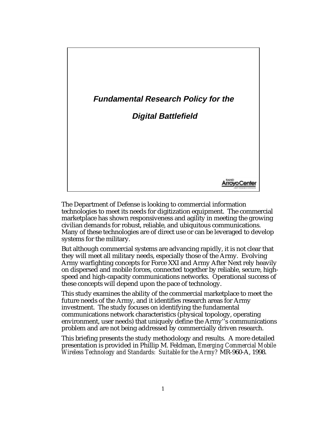

The Department of Defense is looking to commercial information technologies to meet its needs for digitization equipment. The commercial marketplace has shown responsiveness and agility in meeting the growing civilian demands for robust, reliable, and ubiquitous communications. Many of these technologies are of direct use or can be leveraged to develop systems for the military.

But although commercial systems are advancing rapidly, it is not clear that they will meet all military needs, especially those of the Army. Evolving Army warfighting concepts for Force XXI and Army After Next rely heavily on dispersed and mobile forces, connected together by reliable, secure, highspeed and high-capacity communications networks. Operational success of these concepts will depend upon the pace of technology.

This study examines the ability of the commercial marketplace to meet the future needs of the Army, and it identifies research areas for Army investment. The study focuses on identifying the fundamental communications network characteristics (physical topology, operating environment, user needs) that uniquely define the Army''s communications problem and are not being addressed by commercially driven research.

This briefing presents the study methodology and results. A more detailed presentation is provided in Phillip M. Feldman, *Emerging Commercial Mobile Wireless Technology and Standards: Suitable for the Army?* MR-960-A, 1998.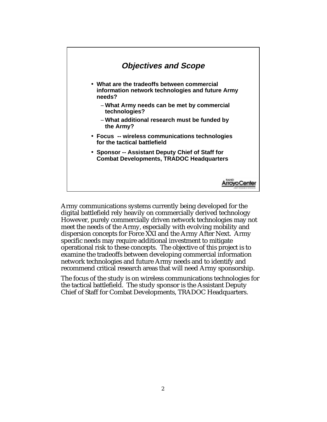

Army communications systems currently being developed for the digital battlefield rely heavily on commercially derived technology However, purely commercially driven network technologies may not meet the needs of the Army, especially with evolving mobility and dispersion concepts for Force XXI and the Army After Next. Army specific needs may require additional investment to mitigate operational risk to these concepts. The objective of this project is to examine the tradeoffs between developing commercial information network technologies and future Army needs and to identify and recommend critical research areas that will need Army sponsorship.

The focus of the study is on wireless communications technologies for the tactical battlefield. The study sponsor is the Assistant Deputy Chief of Staff for Combat Developments, TRADOC Headquarters.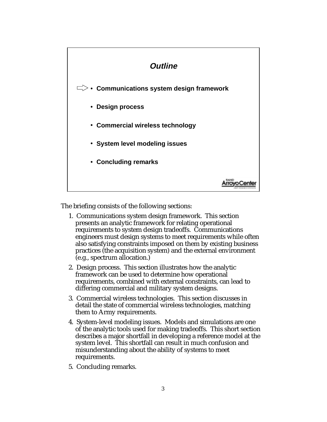

The briefing consists of the following sections:

- 1. Communications system design framework. This section presents an analytic framework for relating operational requirements to system design tradeoffs. Communications engineers must design systems to meet requirements while often also satisfying constraints imposed on them by existing business practices (the acquisition system) and the external environment (e.g., spectrum allocation.)
- 2. Design process. This section illustrates how the analytic framework can be used to determine how operational requirements, combined with external constraints, can lead to differing commercial and military system designs.
- 3. Commercial wireless technologies. This section discusses in detail the state of commercial wireless technologies, matching them to Army requirements.
- 4. System-level modeling issues. Models and simulations are one of the analytic tools used for making tradeoffs. This short section describes a major shortfall in developing a reference model at the system level. This shortfall can result in much confusion and misunderstanding about the ability of systems to meet requirements.
- 5. Concluding remarks.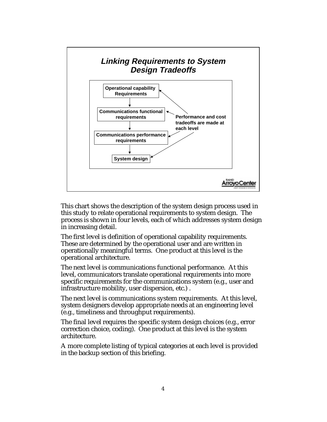

This chart shows the description of the system design process used in this study to relate operational requirements to system design. The process is shown in four levels, each of which addresses system design in increasing detail.

The first level is definition of operational capability requirements. These are determined by the operational user and are written in operationally meaningful terms. One product at this level is the operational architecture.

The next level is communications functional performance. At this level, communicators translate operational requirements into more specific requirements for the communications system (e.g., user and infrastructure mobility, user dispersion, etc.) .

The next level is communications system requirements. At this level, system designers develop appropriate needs at an engineering level (e.g., timeliness and throughput requirements).

The final level requires the specific system design choices (e.g., error correction choice, coding). One product at this level is the system architecture.

A more complete listing of typical categories at each level is provided in the backup section of this briefing.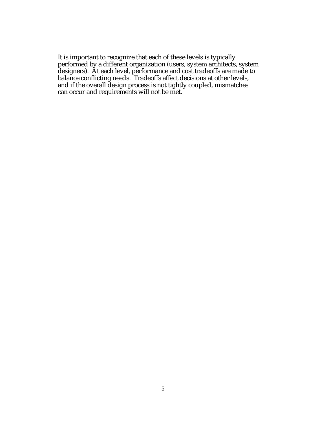It is important to recognize that each of these levels is typically performed by a different organization (users, system architects, system designers). At each level, performance and cost tradeoffs are made to balance conflicting needs. Tradeoffs affect decisions at other levels, and if the overall design process is not tightly coupled, mismatches can occur and requirements will not be met.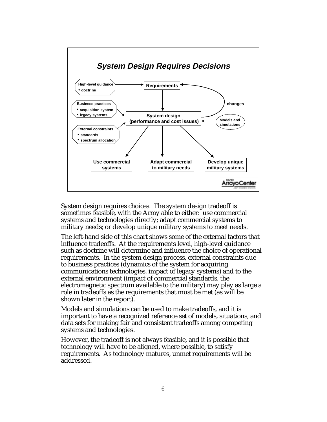

System design requires choices. The system design tradeoff is sometimes feasible, with the Army able to either: use commercial systems and technologies directly; adapt commercial systems to military needs; or develop unique military systems to meet needs.

The left-hand side of this chart shows some of the external factors that influence tradeoffs. At the requirements level, high-level guidance such as doctrine will determine and influence the choice of operational requirements. In the system design process, external constraints due to business practices (dynamics of the system for acquiring communications technologies, impact of legacy systems) and to the external environment (impact of commercial standards, the electromagnetic spectrum available to the military) may play as large a role in tradeoffs as the requirements that must be met (as will be shown later in the report).

Models and simulations can be used to make tradeoffs, and it is important to have a recognized reference set of models, situations, and data sets for making fair and consistent tradeoffs among competing systems and technologies.

However, the tradeoff is not always feasible, and it is possible that technology will have to be aligned, where possible, to satisfy requirements. As technology matures, unmet requirements will be addressed.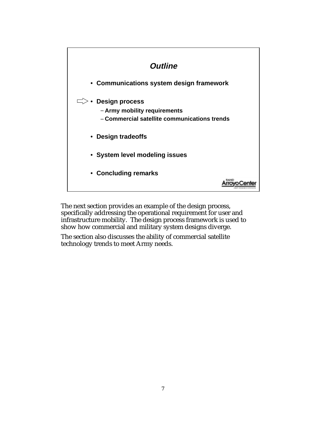

The next section provides an example of the design process, specifically addressing the operational requirement for user and infrastructure mobility. The design process framework is used to show how commercial and military system designs diverge.

The section also discusses the ability of commercial satellite technology trends to meet Army needs.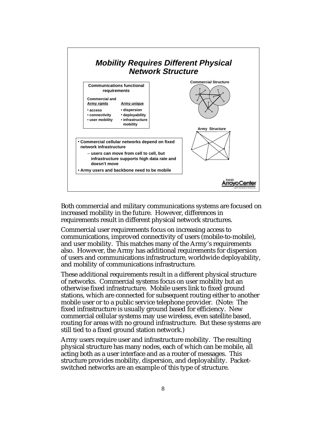

Both commercial and military communications systems are focused on increased mobility in the future. However, differences in requirements result in different physical network structures.

Commercial user requirements focus on increasing access to communications, improved connectivity of users (mobile-to-mobile), and user mobility. This matches many of the Army's requirements also. However, the Army has additional requirements for dispersion of users and communications infrastructure, worldwide deployability, and mobility of communications infrastructure.

These additional requirements result in a different physical structure of networks. Commercial systems focus on user mobility but an otherwise fixed infrastructure. Mobile users link to fixed ground stations, which are connected for subsequent routing either to another mobile user or to a public service telephone provider. (Note: The fixed infrastructure is usually ground based for efficiency. New commercial cellular systems may use wireless, even satellite based, routing for areas with no ground infrastructure. But these systems are still tied to a fixed ground station network.)

Army users require user and infrastructure mobility. The resulting physical structure has many nodes, each of which can be mobile, all acting both as a user interface and as a router of messages. This structure provides mobility, dispersion, and deployability. Packetswitched networks are an example of this type of structure.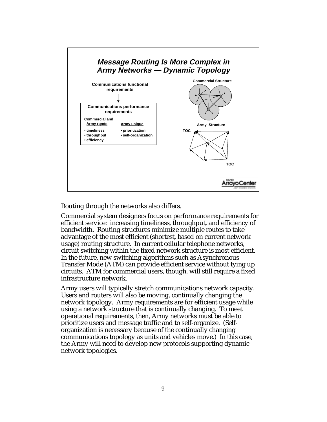

Routing through the networks also differs.

Commercial system designers focus on performance requirements for efficient service: increasing timeliness, throughput, and efficiency of bandwidth. Routing structures minimize multiple routes to take advantage of the most efficient (shortest, based on current network usage) routing structure. In current cellular telephone networks, circuit switching within the fixed network structure is most efficient. In the future, new switching algorithms such as Asynchronous Transfer Mode (ATM) can provide efficient service without tying up circuits. ATM for commercial users, though, will still require a fixed infrastructure network.

Army users will typically stretch communications network capacity. Users and routers will also be moving, continually changing the network topology. Army requirements are for efficient usage while using a network structure that is continually changing. To meet operational requirements, then, Army networks must be able to prioritize users and message traffic and to self-organize. (Selforganization is necessary because of the continually changing communications topology as units and vehicles move.) In this case, the Army will need to develop new protocols supporting dynamic network topologies.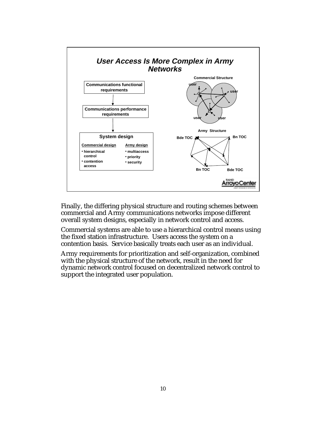

Finally, the differing physical structure and routing schemes between commercial and Army communications networks impose different overall system designs, especially in network control and access.

Commercial systems are able to use a hierarchical control means using the fixed station infrastructure. Users access the system on a contention basis. Service basically treats each user as an individual.

Army requirements for prioritization and self-organization, combined with the physical structure of the network, result in the need for dynamic network control focused on decentralized network control to support the integrated user population.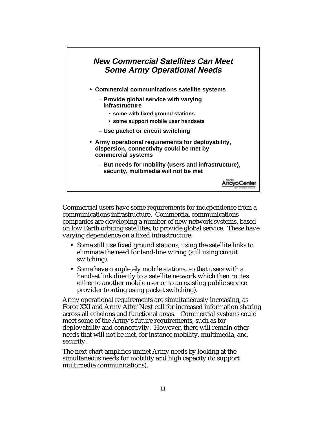

Commercial users have some requirements for independence from a communications infrastructure. Commercial communications companies are developing a number of new network systems, based on low Earth orbiting satellites, to provide global service. These have varying dependence on a fixed infrastructure:

- Some still use fixed ground stations, using the satellite links to eliminate the need for land-line wiring (still using circuit switching).
- Some have completely mobile stations, so that users with a handset link directly to a satellite network which then routes either to another mobile user or to an existing public service provider (routing using packet switching).

Army operational requirements are simultaneously increasing, as Force XXI and Army After Next call for increased information sharing across all echelons and functional areas. Commercial systems could meet some of the Army's future requirements, such as for deployability and connectivity. However, there will remain other needs that will not be met, for instance mobility, multimedia, and security.

The next chart amplifies unmet Army needs by looking at the simultaneous needs for mobility and high capacity (to support multimedia communications).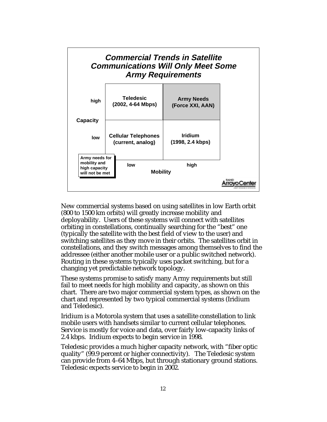

New commercial systems based on using satellites in low Earth orbit (800 to 1500 km orbits) will greatly increase mobility and deployability. Users of these systems will connect with satellites orbiting in constellations, continually searching for the "best" one (typically the satellite with the best field of view to the user) and switching satellites as they move in their orbits. The satellites orbit in constellations, and they switch messages among themselves to find the addressee (either another mobile user or a public switched network). Routing in these systems typically uses packet switching, but for a changing yet predictable network topology.

These systems promise to satisfy many Army requirements but still fail to meet needs for high mobility and capacity, as shown on this chart. There are two major commercial system types, as shown on the chart and represented by two typical commercial systems (Iridium and Teledesic).

Iridium is a Motorola system that uses a satellite constellation to link mobile users with handsets similar to current cellular telephones. Service is mostly for voice and data, over fairly low-capacity links of 2.4 kbps. Iridium expects to begin service in 1998.

Teledesic provides a much higher capacity network, with "fiber optic quality" (99.9 percent or higher connectivity). The Teledesic system can provide from 4–64 Mbps, but through stationary ground stations. Teledesic expects service to begin in 2002.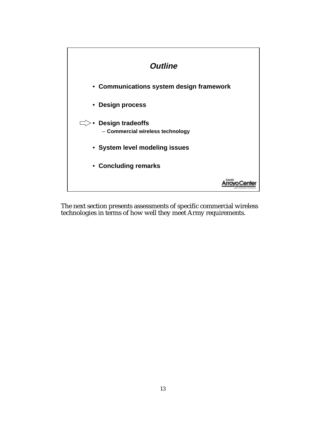

The next section presents assessments of specific commercial wireless technologies in terms of how well they meet Army requirements.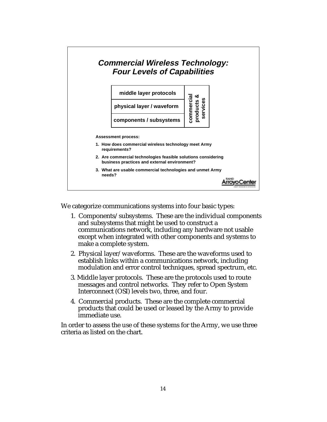

We categorize communications systems into four basic types:

- 1. Components/subsystems. These are the individual components and subsystems that might be used to construct a communications network, including any hardware not usable except when integrated with other components and systems to make a complete system.
- 2. Physical layer/waveforms. These are the waveforms used to establish links within a communications network, including modulation and error control techniques, spread spectrum, etc.
- 3. Middle layer protocols. These are the protocols used to route messages and control networks. They refer to Open System Interconnect (OSI) levels two, three, and four.
- 4. Commercial products. These are the complete commercial products that could be used or leased by the Army to provide immediate use.

In order to assess the use of these systems for the Army, we use three criteria as listed on the chart.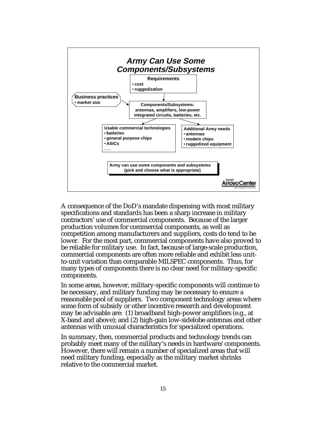

A consequence of the DoD's mandate dispensing with most military specifications and standards has been a sharp increase in military contractors' use of commercial components. Because of the larger production volumes for commercial components, as well as competition among manufacturers and suppliers, costs do tend to be lower. For the most part, commercial components have also proved to be reliable for military use. In fact, because of large-scale production, commercial components are often more reliable and exhibit less unitto-unit variation than comparable MILSPEC components. Thus, for many types of components there is no clear need for military-specific components.

In some areas, however, military-specific components will continue to be necessary, and military funding may be necessary to ensure a reasonable pool of suppliers. Two component technology areas where some form of subsidy or other incentive research and development may be advisable are: (1) broadband high-power amplifiers (e.g., at X-band and above); and (2) high-gain low-sidelobe antennas and other antennas with unusual characteristics for specialized operations.

In summary, then, commercial products and technology trends can probably meet many of the military's needs in hardware/components. However, there will remain a number of specialized areas that will need military funding, especially as the military market shrinks relative to the commercial market.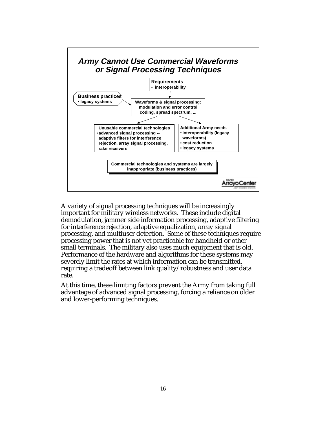

A variety of signal processing techniques will be increasingly important for military wireless networks. These include digital demodulation, jammer side information processing, adaptive filtering for interference rejection, adaptive equalization, array signal processing, and multiuser detection. Some of these techniques require processing power that is not yet practicable for handheld or other small terminals. The military also uses much equipment that is old. Performance of the hardware and algorithms for these systems may severely limit the rates at which information can be transmitted, requiring a tradeoff between link quality/robustness and user data rate.

At this time, these limiting factors prevent the Army from taking full advantage of advanced signal processing, forcing a reliance on older and lower-performing techniques.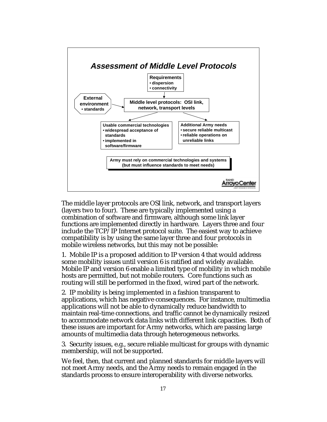

The middle layer protocols are OSI link, network, and transport layers (layers two to four). These are typically implemented using a combination of software and firmware, although some link layer functions are implemented directly in hardware. Layers three and four include the TCP/IP Internet protocol suite. The easiest way to achieve compatibility is by using the same layer three and four protocols in mobile wireless networks, but this may not be possible:

1. Mobile IP is a proposed addition to IP version 4 that would address some mobility issues until version 6 is ratified and widely available. Mobile IP and version 6 enable a limited type of mobility in which mobile hosts are permitted, but not mobile routers. Core functions such as routing will still be performed in the fixed, wired part of the network.

2. IP mobility is being implemented in a fashion transparent to applications, which has negative consequences. For instance, multimedia applications will not be able to dynamically reduce bandwidth to maintain real-time connections, and traffic cannot be dynamically resized to accommodate network data links with different link capacities. Both of these issues are important for Army networks, which are passing large amounts of multimedia data through heterogeneous networks.

3. Security issues, e.g., secure reliable multicast for groups with dynamic membership, will not be supported.

We feel, then, that current and planned standards for middle layers will not meet Army needs, and the Army needs to remain engaged in the standards process to ensure interoperability with diverse networks.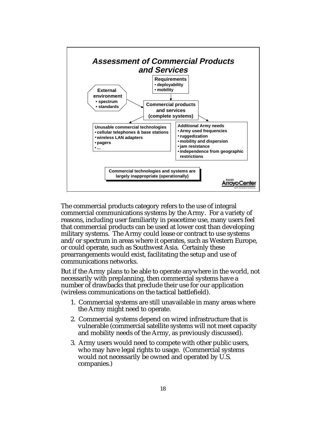

The commercial products category refers to the use of integral commercial communications systems by the Army. For a variety of reasons, including user familiarity in peacetime use, many users feel that commercial products can be used at lower cost than developing military systems. The Army could lease or contract to use systems and/or spectrum in areas where it operates, such as Western Europe, or could operate, such as Southwest Asia. Certainly these prearrangements would exist, facilitating the setup and use of communications networks.

But if the Army plans to be able to operate anywhere in the world, not necessarily with preplanning, then commercial systems have a number of drawbacks that preclude their use for our application (wireless communications on the tactical battlefield).

- 1. Commercial systems are still unavailable in many areas where the Army might need to operate.
- 2. Commercial systems depend on wired infrastructure that is vulnerable (commercial satellite systems will not meet capacity and mobility needs of the Army, as previously discussed).
- 3. Army users would need to compete with other public users, who may have legal rights to usage. (Commercial systems would not necessarily be owned and operated by U.S. companies.)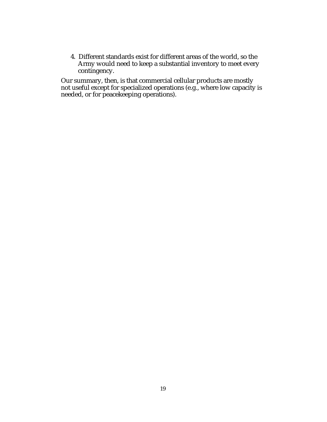4. Different standards exist for different areas of the world, so the Army would need to keep a substantial inventory to meet every contingency.

Our summary, then, is that commercial cellular products are mostly not useful except for specialized operations (e.g., where low capacity is needed, or for peacekeeping operations).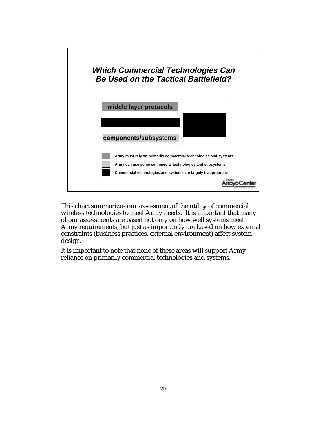

This chart summarizes our assessment of the utility of commercial wireless technologies to meet Army needs. It is important that many of our assessments are based not only on how well systems meet Army requirements, but just as importantly are based on how external constraints (business practices, external environment) affect system design.

It is important to note that none of these areas will support Army reliance on primarily commercial technologies and systems.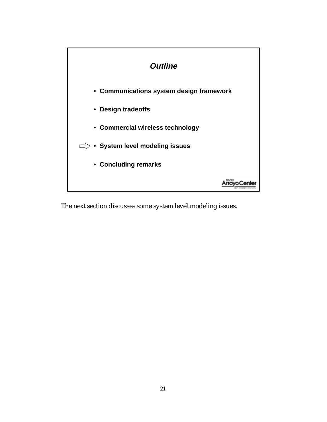

The next section discusses some system level modeling issues.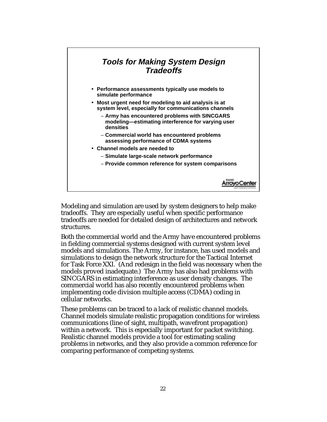

Modeling and simulation are used by system designers to help make tradeoffs. They are especially useful when specific performance tradeoffs are needed for detailed design of architectures and network structures.

Both the commercial world and the Army have encountered problems in fielding commercial systems designed with current system level models and simulations. The Army, for instance, has used models and simulations to design the network structure for the Tactical Internet for Task Force XXI. (And redesign in the field was necessary when the models proved inadequate.) The Army has also had problems with SINCGARS in estimating interference as user density changes. The commercial world has also recently encountered problems when implementing code division multiple access (CDMA) coding in cellular networks.

These problems can be traced to a lack of realistic channel models. Channel models simulate realistic propagation conditions for wireless communications (line of sight, multipath, wavefront propagation) within a network. This is especially important for packet switching. Realistic channel models provide a tool for estimating scaling problems in networks, and they also provide a common reference for comparing performance of competing systems.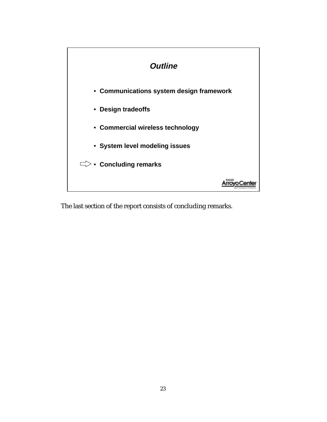

The last section of the report consists of concluding remarks.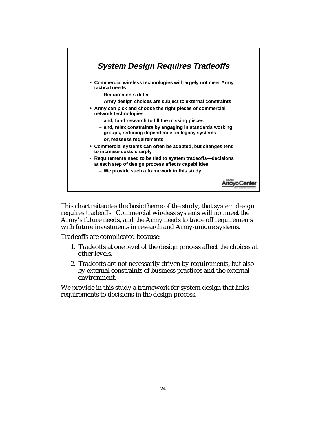

This chart reiterates the basic theme of the study, that system design requires tradeoffs. Commercial wireless systems will not meet the Army's future needs, and the Army needs to trade off requirements with future investments in research and Army-unique systems.

Tradeoffs are complicated because:

- 1. Tradeoffs at one level of the design process affect the choices at other levels.
- 2. Tradeoffs are not necessarily driven by requirements, but also by external constraints of business practices and the external environment.

We provide in this study a framework for system design that links requirements to decisions in the design process.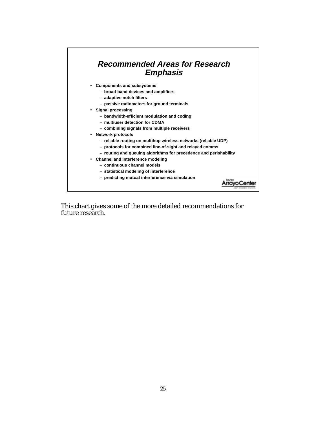## **Recommended Areas for Research Emphasis**

- **Components and subsystems**
	- − **broad-band devices and amplifiers**
	- − **adaptive notch filters**
	- − **passive radiometers for ground terminals**
- **Signal processing**
	- − **bandwidth-efficient modulation and coding**
	- − **multiuser detection for CDMA**
	- − **combining signals from multiple receivers**
- **Network protocols**
	- − **reliable routing on multihop wireless networks (reliable UDP)**
	- − **protocols for combined line-of-sight and relayed comms**
	- − **routing and queuing algorithms for precedence and perishability**

Arroyo Center

- **Channel and interference modeling**
	- − **continuous channel models**
	- − **statistical modeling of interference**
	- − **predicting mutual interference via simulation**

This chart gives some of the more detailed recommendations for future research.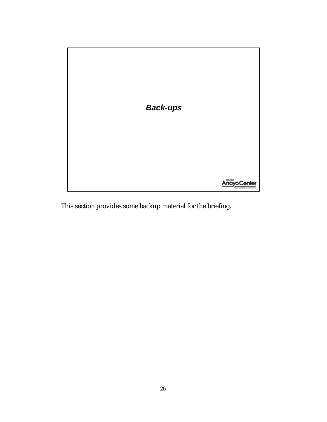

This section provides some backup material for the briefing.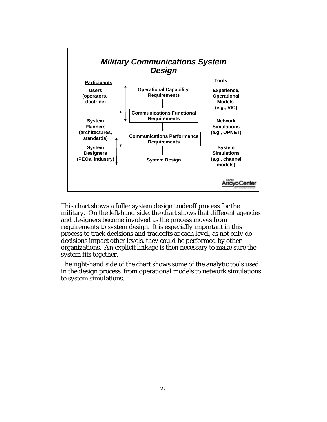

This chart shows a fuller system design tradeoff process for the military. On the left-hand side, the chart shows that different agencies and designers become involved as the process moves from requirements to system design. It is especially important in this process to track decisions and tradeoffs at each level, as not only do decisions impact other levels, they could be performed by other organizations. An explicit linkage is then necessary to make sure the system fits together.

The right-hand side of the chart shows some of the analytic tools used in the design process, from operational models to network simulations to system simulations.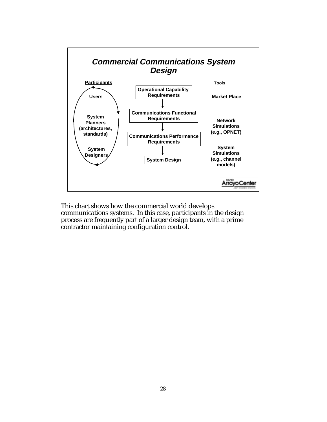

This chart shows how the commercial world develops communications systems. In this case, participants in the design process are frequently part of a larger design team, with a prime contractor maintaining configuration control.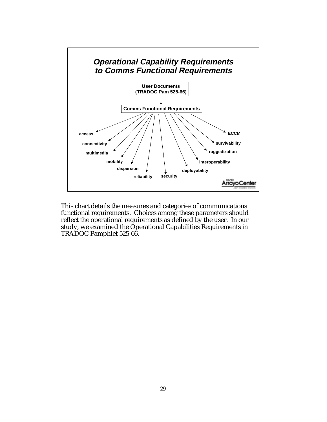

This chart details the measures and categories of communications functional requirements. Choices among these parameters should reflect the operational requirements as defined by the user. In our study, we examined the Operational Capabilities Requirements in TRADOC Pamphlet 525-66.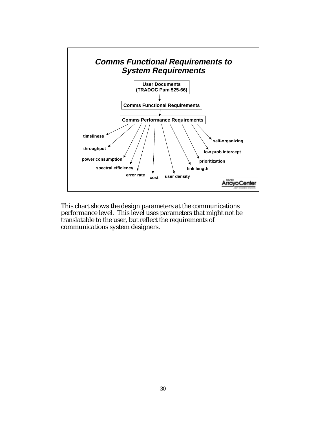

This chart shows the design parameters at the communications performance level. This level uses parameters that might not be translatable to the user, but reflect the requirements of communications system designers.